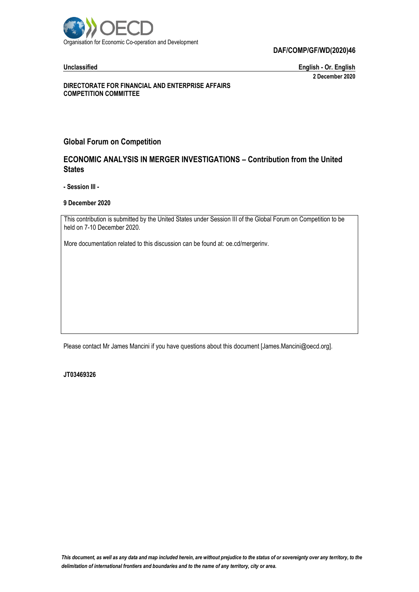

#### **DAF/COMP/GF/WD(2020)46**

**Unclassified English - Or. English 2 December 2020**

**DIRECTORATE FOR FINANCIAL AND ENTERPRISE AFFAIRS COMPETITION COMMITTEE**

## **Global Forum on Competition**

# **ECONOMIC ANALYSIS IN MERGER INVESTIGATIONS – Contribution from the United States**

**- Session III -**

#### **9 December 2020**

This contribution is submitted by the United States under Session III of the Global Forum on Competition to be held on 7-10 December 2020.

More documentation related to this discussion can be found at: oe.cd/mergerinv.

Please contact Mr James Mancini if you have questions about this document [James.Mancini@oecd.org].

**JT03469326**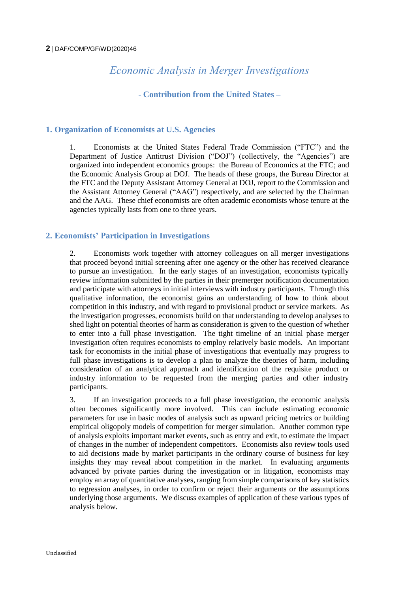# *Economic Analysis in Merger Investigations*

**- Contribution from the United States –**

# **1. Organization of Economists at U.S. Agencies**

1. Economists at the United States Federal Trade Commission ("FTC") and the Department of Justice Antitrust Division ("DOJ") (collectively, the "Agencies") are organized into independent economics groups: the Bureau of Economics at the FTC; and the Economic Analysis Group at DOJ. The heads of these groups, the Bureau Director at the FTC and the Deputy Assistant Attorney General at DOJ, report to the Commission and the Assistant Attorney General ("AAG") respectively, and are selected by the Chairman and the AAG. These chief economists are often academic economists whose tenure at the agencies typically lasts from one to three years.

# **2. Economists' Participation in Investigations**

2. Economists work together with attorney colleagues on all merger investigations that proceed beyond initial screening after one agency or the other has received clearance to pursue an investigation. In the early stages of an investigation, economists typically review information submitted by the parties in their premerger notification documentation and participate with attorneys in initial interviews with industry participants. Through this qualitative information, the economist gains an understanding of how to think about competition in this industry, and with regard to provisional product or service markets. As the investigation progresses, economists build on that understanding to develop analyses to shed light on potential theories of harm as consideration is given to the question of whether to enter into a full phase investigation. The tight timeline of an initial phase merger investigation often requires economists to employ relatively basic models. An important task for economists in the initial phase of investigations that eventually may progress to full phase investigations is to develop a plan to analyze the theories of harm, including consideration of an analytical approach and identification of the requisite product or industry information to be requested from the merging parties and other industry participants.

3. If an investigation proceeds to a full phase investigation, the economic analysis often becomes significantly more involved. This can include estimating economic parameters for use in basic modes of analysis such as upward pricing metrics or building empirical oligopoly models of competition for merger simulation. Another common type of analysis exploits important market events, such as entry and exit, to estimate the impact of changes in the number of independent competitors. Economists also review tools used to aid decisions made by market participants in the ordinary course of business for key insights they may reveal about competition in the market. In evaluating arguments advanced by private parties during the investigation or in litigation, economists may employ an array of quantitative analyses, ranging from simple comparisons of key statistics to regression analyses, in order to confirm or reject their arguments or the assumptions underlying those arguments. We discuss examples of application of these various types of analysis below.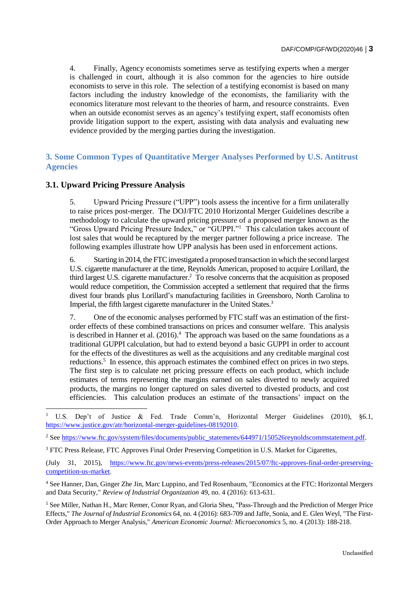4. Finally, Agency economists sometimes serve as testifying experts when a merger is challenged in court, although it is also common for the agencies to hire outside economists to serve in this role. The selection of a testifying economist is based on many factors including the industry knowledge of the economists, the familiarity with the economics literature most relevant to the theories of harm, and resource constraints. Even when an outside economist serves as an agency's testifying expert, staff economists often provide litigation support to the expert, assisting with data analysis and evaluating new evidence provided by the merging parties during the investigation.

# **3. Some Common Types of Quantitative Merger Analyses Performed by U.S. Antitrust Agencies**

# **3.1. Upward Pricing Pressure Analysis**

-

5. Upward Pricing Pressure ("UPP") tools assess the incentive for a firm unilaterally to raise prices post-merger. The DOJ/FTC 2010 Horizontal Merger Guidelines describe a methodology to calculate the upward pricing pressure of a proposed merger known as the "Gross Upward Pricing Pressure Index," or "GUPPI."<sup>1</sup> This calculation takes account of lost sales that would be recaptured by the merger partner following a price increase. The following examples illustrate how UPP analysis has been used in enforcement actions.

6. Starting in 2014, the FTC investigated a proposed transaction in which the second largest U.S. cigarette manufacturer at the time, Reynolds American, proposed to acquire Lorillard, the third largest U.S. cigarette manufacturer. <sup>2</sup> To resolve concerns that the acquisition as proposed would reduce competition, the Commission accepted a settlement that required that the firms divest four brands plus Lorillard's manufacturing facilities in Greensboro, North Carolina to Imperial, the fifth largest cigarette manufacturer in the United States.<sup>3</sup>

7. One of the economic analyses performed by FTC staff was an estimation of the firstorder effects of these combined transactions on prices and consumer welfare. This analysis is described in Hanner et al.  $(2016)^4$ . The approach was based on the same foundations as a traditional GUPPI calculation, but had to extend beyond a basic GUPPI in order to account for the effects of the divestitures as well as the acquisitions and any creditable marginal cost reductions.<sup>5</sup> In essence, this approach estimates the combined effect on prices in two steps. The first step is to calculate net pricing pressure effects on each product, which include estimates of terms representing the margins earned on sales diverted to newly acquired products, the margins no longer captured on sales diverted to divested products, and cost efficiencies. This calculation produces an estimate of the transactions' impact on the

<sup>1</sup> U.S. Dep't of Justice & Fed. Trade Comm'n, Horizontal Merger Guidelines (2010), §6.1, [https://www.justice.gov/atr/horizontal-merger-guidelines-08192010.](https://www.justice.gov/atr/horizontal-merger-guidelines-08192010)

<sup>&</sup>lt;sup>2</sup> See [https://www.ftc.gov/system/files/documents/public\\_statements/644971/150526reynoldscommstatement.pdf.](https://www.ftc.gov/system/files/documents/public_statements/644971/150526reynoldscommstatement.pdf)

<sup>&</sup>lt;sup>3</sup> FTC Press Release, FTC Approves Final Order Preserving Competition in U.S. Market for Cigarettes,

<sup>(</sup>July 31, 2015), [https://www.ftc.gov/news-events/press-releases/2015/07/ftc-approves-final-order-preserving](https://www.ftc.gov/news-events/press-releases/2015/07/ftc-approves-final-order-preserving-competition-us-market)[competition-us-market.](https://www.ftc.gov/news-events/press-releases/2015/07/ftc-approves-final-order-preserving-competition-us-market)

<sup>4</sup> See Hanner, Dan, Ginger Zhe Jin, Marc Luppino, and Ted Rosenbaum, "Economics at the FTC: Horizontal Mergers and Data Security," *Review of Industrial Organization* 49, no. 4 (2016): 613-631.

<sup>5</sup> See Miller, Nathan H., Marc Remer, Conor Ryan, and Gloria Sheu, "Pass‐Through and the Prediction of Merger Price Effects," *The Journal of Industrial Economics* 64, no. 4 (2016): 683-709 and Jaffe, Sonia, and E. Glen Weyl, "The First-Order Approach to Merger Analysis," *American Economic Journal: Microeconomics* 5, no. 4 (2013): 188-218.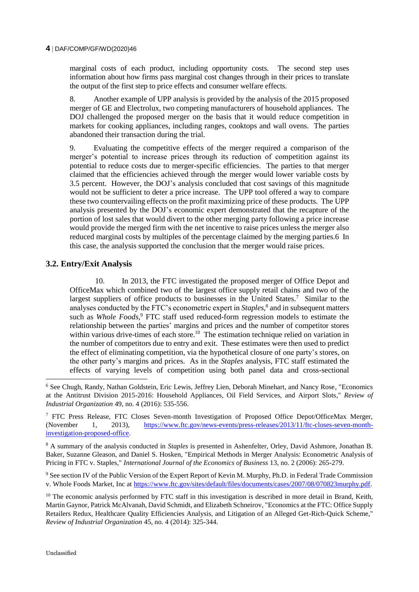#### **4** DAF/COMP/GF/WD(2020)46

marginal costs of each product, including opportunity costs. The second step uses information about how firms pass marginal cost changes through in their prices to translate the output of the first step to price effects and consumer welfare effects.

8. Another example of UPP analysis is provided by the analysis of the 2015 proposed merger of GE and Electrolux, two competing manufacturers of household appliances. The DOJ challenged the proposed merger on the basis that it would reduce competition in markets for cooking appliances, including ranges, cooktops and wall ovens. The parties abandoned their transaction during the trial.

9. Evaluating the competitive effects of the merger required a comparison of the merger's potential to increase prices through its reduction of competition against its potential to reduce costs due to merger-specific efficiencies. The parties to that merger claimed that the efficiencies achieved through the merger would lower variable costs by 3.5 percent. However, the DOJ's analysis concluded that cost savings of this magnitude would not be sufficient to deter a price increase. The UPP tool offered a way to compare these two countervailing effects on the profit maximizing price of these products. The UPP analysis presented by the DOJ's economic expert demonstrated that the recapture of the portion of lost sales that would divert to the other merging party following a price increase would provide the merged firm with the net incentive to raise prices unless the merger also reduced marginal costs by multiples of the percentage claimed by the merging parties.6 In this case, the analysis supported the conclusion that the merger would raise prices.

## **3.2. Entry/Exit Analysis**

10. In 2013, the FTC investigated the proposed merger of Office Depot and OfficeMax which combined two of the largest office supply retail chains and two of the largest suppliers of office products to businesses in the United States.<sup>7</sup> Similar to the analyses conducted by the FTC's econometric expert in *Staples*, 8 and in subsequent matters such as *Whole Foods*, <sup>9</sup> FTC staff used reduced-form regression models to estimate the relationship between the parties' margins and prices and the number of competitor stores within various drive-times of each store.<sup>10</sup> The estimation technique relied on variation in the number of competitors due to entry and exit. These estimates were then used to predict the effect of eliminating competition, via the hypothetical closure of one party's stores, on the other party's margins and prices. As in the *Staples* analysis, FTC staff estimated the effects of varying levels of competition using both panel data and cross-sectional

<sup>6</sup> See Chugh, Randy, Nathan Goldstein, Eric Lewis, Jeffrey Lien, Deborah Minehart, and Nancy Rose, "Economics at the Antitrust Division 2015-2016: Household Appliances, Oil Field Services, and Airport Slots," *Review of Industrial Organization* 49, no. 4 (2016): 535-556.

<sup>7</sup> FTC Press Release, FTC Closes Seven-month Investigation of Proposed Office Depot/OfficeMax Merger, (November 1, 2013), [https://www.ftc.gov/news-events/press-releases/2013/11/ftc-closes-seven-month](https://www.ftc.gov/news-events/press-releases/2013/11/ftc-closes-seven-month-investigation-proposed-office)[investigation-proposed-office.](https://www.ftc.gov/news-events/press-releases/2013/11/ftc-closes-seven-month-investigation-proposed-office)

<sup>8</sup> A summary of the analysis conducted in *Staples* is presented in Ashenfelter, Orley, David Ashmore, Jonathan B. Baker, Suzanne Gleason, and Daniel S. Hosken, "Empirical Methods in Merger Analysis: Econometric Analysis of Pricing in FTC v. Staples*,*" *International Journal of the Economics of Business* 13, no. 2 (2006): 265-279.

<sup>9</sup> See section IV of the Public Version of the Expert Report of Kevin M. Murphy, Ph.D. in Federal Trade Commission v. Whole Foods Market, Inc at [https://www.ftc.gov/sites/default/files/documents/cases/2007/08/070823murphy.pdf.](https://www.ftc.gov/sites/default/files/documents/cases/2007/08/070823murphy.pdf)

<sup>10</sup> The economic analysis performed by FTC staff in this investigation is described in more detail in Brand, Keith, Martin Gaynor, Patrick McAlvanah, David Schmidt, and Elizabeth Schneirov, "Economics at the FTC: Office Supply Retailers Redux, Healthcare Quality Efficiencies Analysis, and Litigation of an Alleged Get-Rich-Quick Scheme," *Review of Industrial Organization* 45, no. 4 (2014): 325-344.

-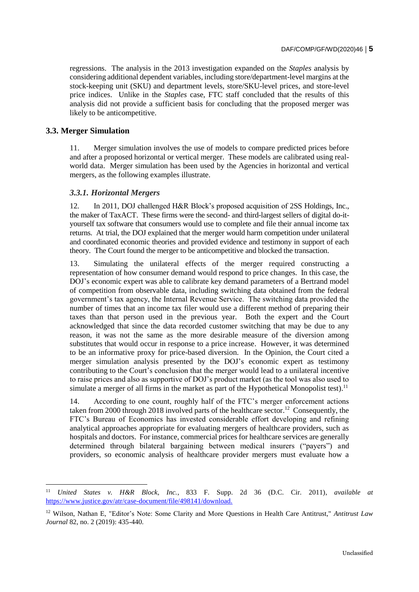regressions. The analysis in the 2013 investigation expanded on the *Staples* analysis by considering additional dependent variables, including store/department-level margins at the stock-keeping unit (SKU) and department levels, store/SKU-level prices, and store-level price indices. Unlike in the *Staples* case, FTC staff concluded that the results of this analysis did not provide a sufficient basis for concluding that the proposed merger was likely to be anticompetitive.

#### **3.3. Merger Simulation**

j

11. Merger simulation involves the use of models to compare predicted prices before and after a proposed horizontal or vertical merger. These models are calibrated using realworld data. Merger simulation has been used by the Agencies in horizontal and vertical mergers, as the following examples illustrate.

#### *3.3.1. Horizontal Mergers*

12. In 2011, DOJ challenged H&R Block's proposed acquisition of 2SS Holdings, Inc., the maker of TaxACT. These firms were the second- and third-largest sellers of digital do-ityourself tax software that consumers would use to complete and file their annual income tax returns. At trial, the DOJ explained that the merger would harm competition under unilateral and coordinated economic theories and provided evidence and testimony in support of each theory. The Court found the merger to be anticompetitive and blocked the transaction.

13. Simulating the unilateral effects of the merger required constructing a representation of how consumer demand would respond to price changes. In this case, the DOJ's economic expert was able to calibrate key demand parameters of a Bertrand model of competition from observable data, including switching data obtained from the federal government's tax agency, the Internal Revenue Service. The switching data provided the number of times that an income tax filer would use a different method of preparing their taxes than that person used in the previous year. Both the expert and the Court acknowledged that since the data recorded customer switching that may be due to any reason, it was not the same as the more desirable measure of the diversion among substitutes that would occur in response to a price increase. However, it was determined to be an informative proxy for price-based diversion. In the Opinion, the Court cited a merger simulation analysis presented by the DOJ's economic expert as testimony contributing to the Court's conclusion that the merger would lead to a unilateral incentive to raise prices and also as supportive of DOJ's product market (as the tool was also used to simulate a merger of all firms in the market as part of the Hypothetical Monopolist test).<sup>11</sup>

14. According to one count, roughly half of the FTC's merger enforcement actions taken from 2000 through 2018 involved parts of the healthcare sector.<sup>12</sup> Consequently, the FTC's Bureau of Economics has invested considerable effort developing and refining analytical approaches appropriate for evaluating mergers of healthcare providers, such as hospitals and doctors. For instance, commercial prices for healthcare services are generally determined through bilateral bargaining between medical insurers ("payers") and providers, so economic analysis of healthcare provider mergers must evaluate how a

<sup>11</sup> *United States v. H&R Block, Inc.*, 833 F. Supp. 2d 36 (D.C. Cir. 2011), *available at* [https://www.justice.gov/atr/case-document/file/498141/download.](https://www.justice.gov/atr/case-document/file/498141/download#.)

<sup>12</sup> Wilson, Nathan E, "Editor's Note: Some Clarity and More Questions in Health Care Antitrust," *Antitrust Law Journal* 82, no. 2 (2019): 435-440.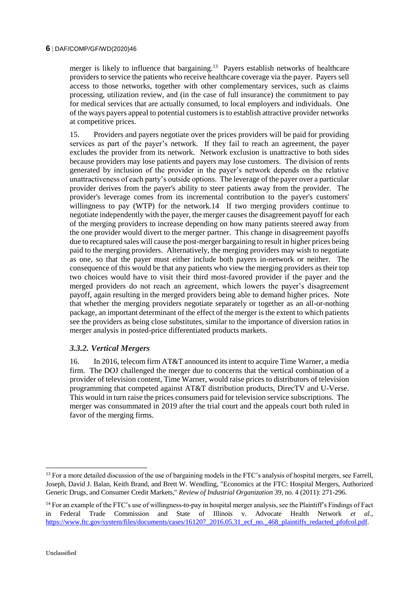merger is likely to influence that bargaining.<sup>13</sup> Payers establish networks of healthcare providers to service the patients who receive healthcare coverage via the payer. Payers sell access to those networks, together with other complementary services, such as claims processing, utilization review, and (in the case of full insurance) the commitment to pay for medical services that are actually consumed, to local employers and individuals. One of the ways payers appeal to potential customers is to establish attractive provider networks at competitive prices.

15. Providers and payers negotiate over the prices providers will be paid for providing services as part of the payer's network. If they fail to reach an agreement, the payer excludes the provider from its network. Network exclusion is unattractive to both sides because providers may lose patients and payers may lose customers. The division of rents generated by inclusion of the provider in the payer's network depends on the relative unattractiveness of each party's outside options. The leverage of the payer over a particular provider derives from the payer's ability to steer patients away from the provider. The provider's leverage comes from its incremental contribution to the payer's customers' willingness to pay (WTP) for the network.14 If two merging providers continue to negotiate independently with the payer, the merger causes the disagreement payoff for each of the merging providers to increase depending on how many patients steered away from the one provider would divert to the merger partner. This change in disagreement payoffs due to recaptured sales will cause the post-merger bargaining to result in higher prices being paid to the merging providers. Alternatively, the merging providers may wish to negotiate as one, so that the payer must either include both payers in-network or neither. The consequence of this would be that any patients who view the merging providers as their top two choices would have to visit their third most-favored provider if the payer and the merged providers do not reach an agreement, which lowers the payer's disagreement payoff, again resulting in the merged providers being able to demand higher prices. Note that whether the merging providers negotiate separately or together as an all-or-nothing package, an important determinant of the effect of the merger is the extent to which patients see the providers as being close substitutes, similar to the importance of diversion ratios in merger analysis in posted-price differentiated products markets.

## *3.3.2. Vertical Mergers*

16. In 2016, telecom firm AT&T announced its intent to acquire Time Warner, a media firm. The DOJ challenged the merger due to concerns that the vertical combination of a provider of television content, Time Warner, would raise prices to distributors of television programming that competed against AT&T distribution products, DirecTV and U-Verse. This would in turn raise the prices consumers paid for television service subscriptions. The merger was consummated in 2019 after the trial court and the appeals court both ruled in favor of the merging firms.

j

<sup>&</sup>lt;sup>13</sup> For a more detailed discussion of the use of bargaining models in the FTC's analysis of hospital mergers, see Farrell, Joseph, David J. Balan, Keith Brand, and Brett W. Wendling, "Economics at the FTC: Hospital Mergers, Authorized Generic Drugs, and Consumer Credit Markets," *Review of Industrial Organization* 39, no. 4 (2011): 271-296.

<sup>&</sup>lt;sup>14</sup> For an example of the FTC's use of willingness-to-pay in hospital merger analysis, see the Plaintiff's Findings of Fact in Federal Trade Commission and State of Illinois v. Advocate Health Network *et al*., [https://www.ftc.gov/system/files/documents/cases/161207\\_2016.05.31\\_ecf\\_no.\\_468\\_plaintiffs\\_redacted\\_pfofcol.pdf.](https://www.ftc.gov/system/files/documents/cases/161207_2016.05.31_ecf_no._468_plaintiffs_redacted_pfofcol.pdf)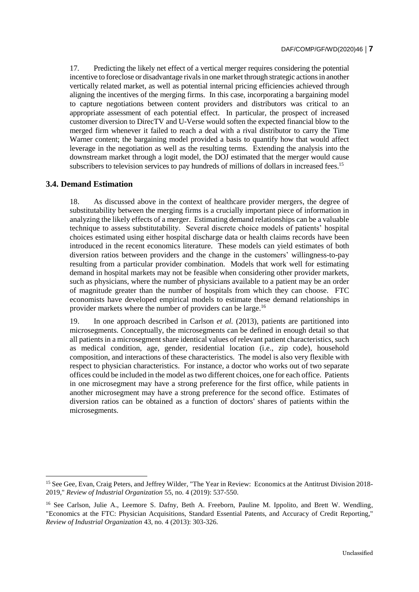17. Predicting the likely net effect of a vertical merger requires considering the potential incentive to foreclose or disadvantage rivals in one market through strategic actions in another vertically related market, as well as potential internal pricing efficiencies achieved through aligning the incentives of the merging firms. In this case, incorporating a bargaining model to capture negotiations between content providers and distributors was critical to an appropriate assessment of each potential effect. In particular, the prospect of increased customer diversion to DirecTV and U-Verse would soften the expected financial blow to the merged firm whenever it failed to reach a deal with a rival distributor to carry the Time Warner content; the bargaining model provided a basis to quantify how that would affect leverage in the negotiation as well as the resulting terms. Extending the analysis into the downstream market through a logit model, the DOJ estimated that the merger would cause subscribers to television services to pay hundreds of millions of dollars in increased fees.<sup>15</sup>

#### **3.4. Demand Estimation**

j

18. As discussed above in the context of healthcare provider mergers, the degree of substitutability between the merging firms is a crucially important piece of information in analyzing the likely effects of a merger. Estimating demand relationships can be a valuable technique to assess substitutability. Several discrete choice models of patients' hospital choices estimated using either hospital discharge data or health claims records have been introduced in the recent economics literature. These models can yield estimates of both diversion ratios between providers and the change in the customers' willingness-to-pay resulting from a particular provider combination. Models that work well for estimating demand in hospital markets may not be feasible when considering other provider markets, such as physicians, where the number of physicians available to a patient may be an order of magnitude greater than the number of hospitals from which they can choose. FTC economists have developed empirical models to estimate these demand relationships in provider markets where the number of providers can be large.<sup>16</sup>

19. In one approach described in Carlson *et al.* (2013), patients are partitioned into microsegments. Conceptually, the microsegments can be defined in enough detail so that all patients in a microsegment share identical values of relevant patient characteristics, such as medical condition, age, gender, residential location (i.e., zip code), household composition, and interactions of these characteristics. The model is also very flexible with respect to physician characteristics. For instance, a doctor who works out of two separate offices could be included in the model as two different choices, one for each office. Patients in one microsegment may have a strong preference for the first office, while patients in another microsegment may have a strong preference for the second office. Estimates of diversion ratios can be obtained as a function of doctors' shares of patients within the microsegments.

<sup>&</sup>lt;sup>15</sup> See Gee, Evan, Craig Peters, and Jeffrey Wilder, "The Year in Review: Economics at the Antitrust Division 2018-2019," *Review of Industrial Organization* 55, no. 4 (2019): 537-550.

<sup>16</sup> See Carlson, Julie A., Leemore S. Dafny, Beth A. Freeborn, Pauline M. Ippolito, and Brett W. Wendling, "Economics at the FTC: Physician Acquisitions, Standard Essential Patents, and Accuracy of Credit Reporting," *Review of Industrial Organization* 43, no. 4 (2013): 303-326.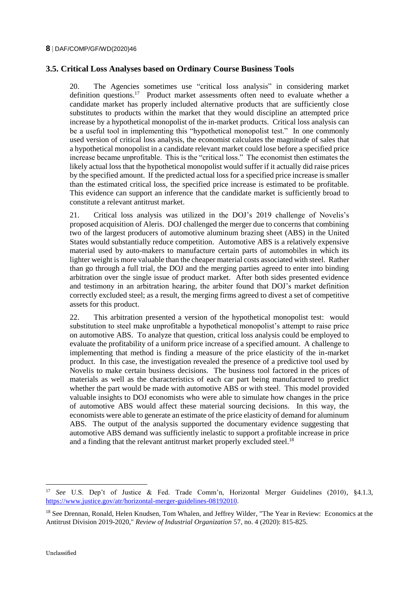# **3.5. Critical Loss Analyses based on Ordinary Course Business Tools**

20. The Agencies sometimes use "critical loss analysis" in considering market definition questions.<sup>17</sup> Product market assessments often need to evaluate whether a candidate market has properly included alternative products that are sufficiently close substitutes to products within the market that they would discipline an attempted price increase by a hypothetical monopolist of the in-market products. Critical loss analysis can be a useful tool in implementing this "hypothetical monopolist test." In one commonly used version of critical loss analysis, the economist calculates the magnitude of sales that a hypothetical monopolist in a candidate relevant market could lose before a specified price increase became unprofitable. This is the "critical loss." The economist then estimates the likely actual loss that the hypothetical monopolist would suffer if it actually did raise prices by the specified amount. If the predicted actual loss for a specified price increase is smaller than the estimated critical loss, the specified price increase is estimated to be profitable. This evidence can support an inference that the candidate market is sufficiently broad to constitute a relevant antitrust market.

21. Critical loss analysis was utilized in the DOJ's 2019 challenge of Novelis's proposed acquisition of Aleris. DOJ challenged the merger due to concerns that combining two of the largest producers of automotive aluminum brazing sheet (ABS) in the United States would substantially reduce competition. Automotive ABS is a relatively expensive material used by auto-makers to manufacture certain parts of automobiles in which its lighter weight is more valuable than the cheaper material costs associated with steel. Rather than go through a full trial, the DOJ and the merging parties agreed to enter into binding arbitration over the single issue of product market. After both sides presented evidence and testimony in an arbitration hearing, the arbiter found that DOJ's market definition correctly excluded steel; as a result, the merging firms agreed to divest a set of competitive assets for this product.

22. This arbitration presented a version of the hypothetical monopolist test: would substitution to steel make unprofitable a hypothetical monopolist's attempt to raise price on automotive ABS. To analyze that question, critical loss analysis could be employed to evaluate the profitability of a uniform price increase of a specified amount. A challenge to implementing that method is finding a measure of the price elasticity of the in-market product. In this case, the investigation revealed the presence of a predictive tool used by Novelis to make certain business decisions. The business tool factored in the prices of materials as well as the characteristics of each car part being manufactured to predict whether the part would be made with automotive ABS or with steel. This model provided valuable insights to DOJ economists who were able to simulate how changes in the price of automotive ABS would affect these material sourcing decisions. In this way, the economists were able to generate an estimate of the price elasticity of demand for aluminum ABS. The output of the analysis supported the documentary evidence suggesting that automotive ABS demand was sufficiently inelastic to support a profitable increase in price and a finding that the relevant antitrust market properly excluded steel.<sup>18</sup>

j

<sup>17</sup> *See* U.S. Dep't of Justice & Fed. Trade Comm'n, Horizontal Merger Guidelines (2010), §4.1.3, [https://www.justice.gov/atr/horizontal-merger-guidelines-08192010.](https://www.justice.gov/atr/horizontal-merger-guidelines-08192010)

<sup>&</sup>lt;sup>18</sup> See Drennan, Ronald, Helen Knudsen, Tom Whalen, and Jeffrey Wilder, "The Year in Review: Economics at the Antitrust Division 2019-2020," *Review of Industrial Organization* 57, no. 4 (2020): 815-825.